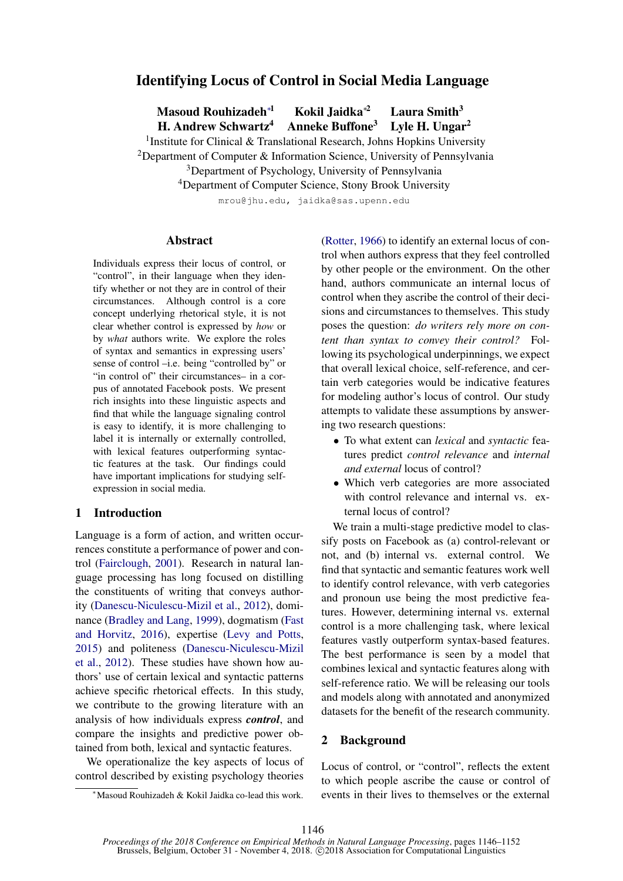# Identifying Locus of Control in Social Media Language

Masoud Rouhizadeh<sup>∗1</sup> Kokil Jaidka<sup>\*2</sup> Laura Smith<sup>3</sup>

H. Andrew Schwartz<sup>4</sup> Anneke Buffone<sup>3</sup> Lyle H. Ungar<sup>2</sup>

<sup>1</sup> Institute for Clinical & Translational Research, Johns Hopkins University

<sup>2</sup>Department of Computer & Information Science, University of Pennsylvania

<sup>3</sup>Department of Psychology, University of Pennsylvania

<sup>4</sup>Department of Computer Science, Stony Brook University

mrou@jhu.edu, jaidka@sas.upenn.edu

#### Abstract

Individuals express their locus of control, or "control", in their language when they identify whether or not they are in control of their circumstances. Although control is a core concept underlying rhetorical style, it is not clear whether control is expressed by *how* or by *what* authors write. We explore the roles of syntax and semantics in expressing users' sense of control –i.e. being "controlled by" or "in control of" their circumstances– in a corpus of annotated Facebook posts. We present rich insights into these linguistic aspects and find that while the language signaling control is easy to identify, it is more challenging to label it is internally or externally controlled, with lexical features outperforming syntactic features at the task. Our findings could have important implications for studying selfexpression in social media.

### 1 Introduction

Language is a form of action, and written occurrences constitute a performance of power and control [\(Fairclough,](#page-5-0) [2001\)](#page-5-0). Research in natural language processing has long focused on distilling the constituents of writing that conveys authority [\(Danescu-Niculescu-Mizil et al.,](#page-5-1) [2012\)](#page-5-1), dominance [\(Bradley and Lang,](#page-5-2) [1999\)](#page-5-2), dogmatism [\(Fast](#page-5-3) [and Horvitz,](#page-5-3) [2016\)](#page-5-3), expertise [\(Levy and Potts,](#page-5-4) [2015\)](#page-5-4) and politeness [\(Danescu-Niculescu-Mizil](#page-5-1) [et al.,](#page-5-1) [2012\)](#page-5-1). These studies have shown how authors' use of certain lexical and syntactic patterns achieve specific rhetorical effects. In this study, we contribute to the growing literature with an analysis of how individuals express *control*, and compare the insights and predictive power obtained from both, lexical and syntactic features.

We operationalize the key aspects of locus of control described by existing psychology theories [\(Rotter,](#page-6-0) [1966\)](#page-6-0) to identify an external locus of control when authors express that they feel controlled by other people or the environment. On the other hand, authors communicate an internal locus of control when they ascribe the control of their decisions and circumstances to themselves. This study poses the question: *do writers rely more on content than syntax to convey their control?* Following its psychological underpinnings, we expect that overall lexical choice, self-reference, and certain verb categories would be indicative features for modeling author's locus of control. Our study attempts to validate these assumptions by answering two research questions:

- To what extent can *lexical* and *syntactic* features predict *control relevance* and *internal and external* locus of control?
- Which verb categories are more associated with control relevance and internal vs. external locus of control?

We train a multi-stage predictive model to classify posts on Facebook as (a) control-relevant or not, and (b) internal vs. external control. We find that syntactic and semantic features work well to identify control relevance, with verb categories and pronoun use being the most predictive features. However, determining internal vs. external control is a more challenging task, where lexical features vastly outperform syntax-based features. The best performance is seen by a model that combines lexical and syntactic features along with self-reference ratio. We will be releasing our tools and models along with annotated and anonymized datasets for the benefit of the research community.

#### 2 Background

Locus of control, or "control", reflects the extent to which people ascribe the cause or control of events in their lives to themselves or the external

<sup>∗</sup>Masoud Rouhizadeh & Kokil Jaidka co-lead this work.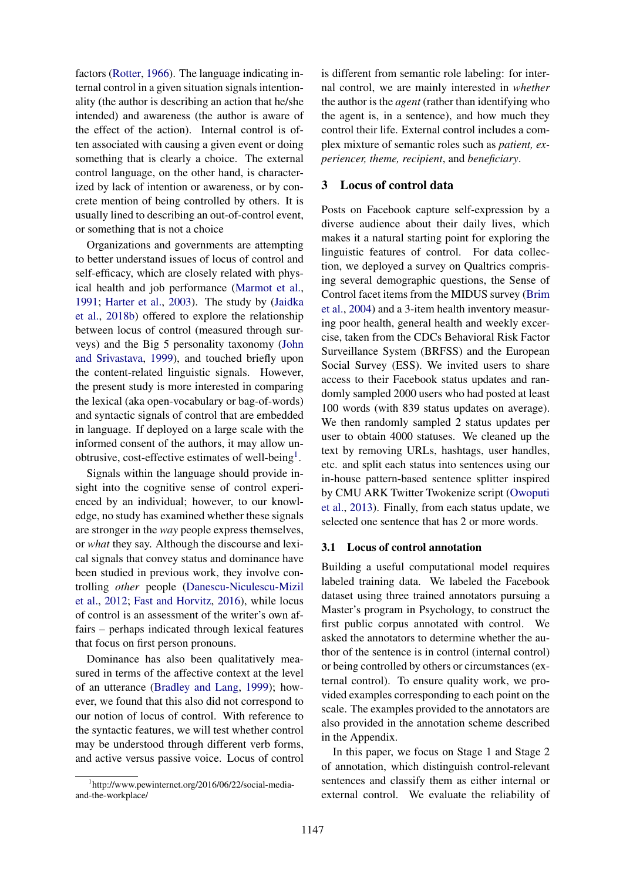factors [\(Rotter,](#page-6-0) [1966\)](#page-6-0). The language indicating internal control in a given situation signals intentionality (the author is describing an action that he/she intended) and awareness (the author is aware of the effect of the action). Internal control is often associated with causing a given event or doing something that is clearly a choice. The external control language, on the other hand, is characterized by lack of intention or awareness, or by concrete mention of being controlled by others. It is usually lined to describing an out-of-control event, or something that is not a choice

Organizations and governments are attempting to better understand issues of locus of control and self-efficacy, which are closely related with physical health and job performance [\(Marmot et al.,](#page-5-5) [1991;](#page-5-5) [Harter et al.,](#page-5-6) [2003\)](#page-5-6). The study by [\(Jaidka](#page-5-7) [et al.,](#page-5-7) [2018b\)](#page-5-7) offered to explore the relationship between locus of control (measured through surveys) and the Big 5 personality taxonomy [\(John](#page-5-8) [and Srivastava,](#page-5-8) [1999\)](#page-5-8), and touched briefly upon the content-related linguistic signals. However, the present study is more interested in comparing the lexical (aka open-vocabulary or bag-of-words) and syntactic signals of control that are embedded in language. If deployed on a large scale with the informed consent of the authors, it may allow un-obtrusive, cost-effective estimates of well-being<sup>[1](#page-1-0)</sup>.

Signals within the language should provide insight into the cognitive sense of control experienced by an individual; however, to our knowledge, no study has examined whether these signals are stronger in the *way* people express themselves, or *what* they say. Although the discourse and lexical signals that convey status and dominance have been studied in previous work, they involve controlling *other* people [\(Danescu-Niculescu-Mizil](#page-5-1) [et al.,](#page-5-1) [2012;](#page-5-1) [Fast and Horvitz,](#page-5-3) [2016\)](#page-5-3), while locus of control is an assessment of the writer's own affairs – perhaps indicated through lexical features that focus on first person pronouns.

Dominance has also been qualitatively measured in terms of the affective context at the level of an utterance [\(Bradley and Lang,](#page-5-2) [1999\)](#page-5-2); however, we found that this also did not correspond to our notion of locus of control. With reference to the syntactic features, we will test whether control may be understood through different verb forms, and active versus passive voice. Locus of control

is different from semantic role labeling: for internal control, we are mainly interested in *whether* the author is the *agent* (rather than identifying who the agent is, in a sentence), and how much they control their life. External control includes a complex mixture of semantic roles such as *patient, experiencer, theme, recipient*, and *beneficiary*.

#### 3 Locus of control data

Posts on Facebook capture self-expression by a diverse audience about their daily lives, which makes it a natural starting point for exploring the linguistic features of control. For data collection, we deployed a survey on Qualtrics comprising several demographic questions, the Sense of Control facet items from the MIDUS survey [\(Brim](#page-5-9) [et al.,](#page-5-9) [2004\)](#page-5-9) and a 3-item health inventory measuring poor health, general health and weekly excercise, taken from the CDCs Behavioral Risk Factor Surveillance System (BRFSS) and the European Social Survey (ESS). We invited users to share access to their Facebook status updates and randomly sampled 2000 users who had posted at least 100 words (with 839 status updates on average). We then randomly sampled 2 status updates per user to obtain 4000 statuses. We cleaned up the text by removing URLs, hashtags, user handles, etc. and split each status into sentences using our in-house pattern-based sentence splitter inspired by CMU ARK Twitter Twokenize script [\(Owoputi](#page-5-10) [et al.,](#page-5-10) [2013\)](#page-5-10). Finally, from each status update, we selected one sentence that has 2 or more words.

#### 3.1 Locus of control annotation

Building a useful computational model requires labeled training data. We labeled the Facebook dataset using three trained annotators pursuing a Master's program in Psychology, to construct the first public corpus annotated with control. We asked the annotators to determine whether the author of the sentence is in control (internal control) or being controlled by others or circumstances (external control). To ensure quality work, we provided examples corresponding to each point on the scale. The examples provided to the annotators are also provided in the annotation scheme described in the Appendix.

In this paper, we focus on Stage 1 and Stage 2 of annotation, which distinguish control-relevant sentences and classify them as either internal or external control. We evaluate the reliability of

<span id="page-1-0"></span><sup>1</sup> http://www.pewinternet.org/2016/06/22/social-mediaand-the-workplace/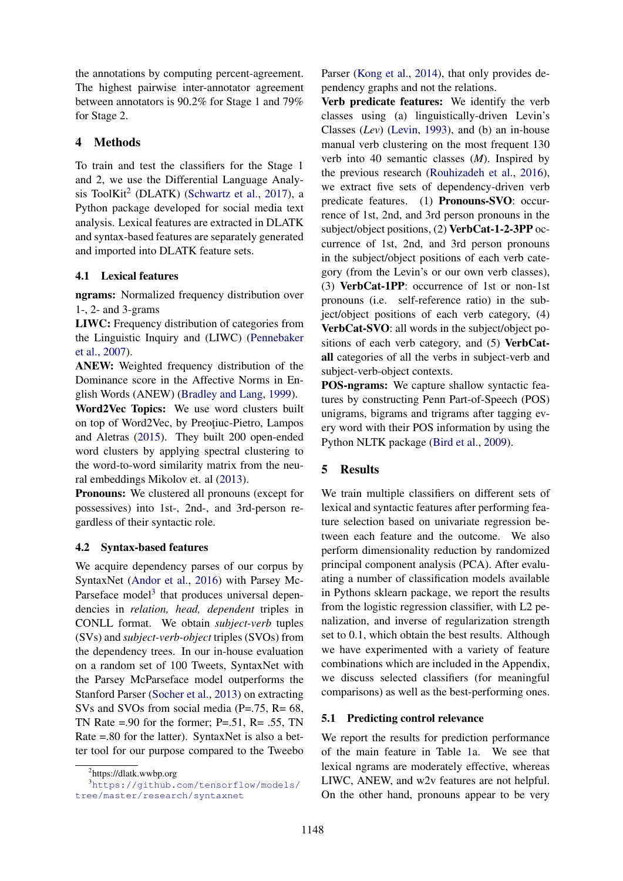the annotations by computing percent-agreement. The highest pairwise inter-annotator agreement between annotators is 90.2% for Stage 1 and 79% for Stage 2.

# 4 Methods

To train and test the classifiers for the Stage 1 and 2, we use the Differential Language Analy-sis ToolKit<sup>[2](#page-2-0)</sup> (DLATK) [\(Schwartz et al.,](#page-6-1) [2017\)](#page-6-1), a Python package developed for social media text analysis. Lexical features are extracted in DLATK and syntax-based features are separately generated and imported into DLATK feature sets.

## 4.1 Lexical features

ngrams: Normalized frequency distribution over 1-, 2- and 3-grams

LIWC: Frequency distribution of categories from the Linguistic Inquiry and (LIWC) [\(Pennebaker](#page-5-11) [et al.,](#page-5-11) [2007\)](#page-5-11).

ANEW: Weighted frequency distribution of the Dominance score in the Affective Norms in English Words (ANEW) [\(Bradley and Lang,](#page-5-2) [1999\)](#page-5-2).

Word2Vec Topics: We use word clusters built on top of Word2Vec, by Preotiuc-Pietro, Lampos and Aletras [\(2015\)](#page-5-12). They built 200 open-ended word clusters by applying spectral clustering to the word-to-word similarity matrix from the neural embeddings Mikolov et. al [\(2013\)](#page-5-13).

Pronouns: We clustered all pronouns (except for possessives) into 1st-, 2nd-, and 3rd-person regardless of their syntactic role.

## 4.2 Syntax-based features

We acquire dependency parses of our corpus by SyntaxNet [\(Andor et al.,](#page-5-14) [2016\)](#page-5-14) with Parsey Mc-Parseface model<sup>[3](#page-2-1)</sup> that produces universal dependencies in *relation, head, dependent* triples in CONLL format. We obtain *subject-verb* tuples (SVs) and *subject-verb-object* triples (SVOs) from the dependency trees. In our in-house evaluation on a random set of 100 Tweets, SyntaxNet with the Parsey McParseface model outperforms the Stanford Parser [\(Socher et al.,](#page-6-2) [2013\)](#page-6-2) on extracting SVs and SVOs from social media (P=.75, R= 68, TN Rate  $= 0.90$  for the former; P $= 0.51$ , R $= 0.55$ , TN Rate =.80 for the latter). SyntaxNet is also a better tool for our purpose compared to the Tweebo

Parser [\(Kong et al.,](#page-5-15) [2014\)](#page-5-15), that only provides dependency graphs and not the relations.

Verb predicate features: We identify the verb classes using (a) linguistically-driven Levin's Classes (*Lev*) [\(Levin,](#page-5-16) [1993\)](#page-5-16), and (b) an in-house manual verb clustering on the most frequent 130 verb into 40 semantic classes (*M*). Inspired by the previous research [\(Rouhizadeh et al.,](#page-6-3) [2016\)](#page-6-3), we extract five sets of dependency-driven verb predicate features. (1) Pronouns-SVO: occurrence of 1st, 2nd, and 3rd person pronouns in the subject/object positions, (2) VerbCat-1-2-3PP occurrence of 1st, 2nd, and 3rd person pronouns in the subject/object positions of each verb category (from the Levin's or our own verb classes), (3) VerbCat-1PP: occurrence of 1st or non-1st pronouns (i.e. self-reference ratio) in the subject/object positions of each verb category, (4) VerbCat-SVO: all words in the subject/object positions of each verb category, and (5) VerbCatall categories of all the verbs in subject-verb and subject-verb-object contexts.

POS-ngrams: We capture shallow syntactic features by constructing Penn Part-of-Speech (POS) unigrams, bigrams and trigrams after tagging every word with their POS information by using the Python NLTK package [\(Bird et al.,](#page-5-17) [2009\)](#page-5-17).

# 5 Results

We train multiple classifiers on different sets of lexical and syntactic features after performing feature selection based on univariate regression between each feature and the outcome. We also perform dimensionality reduction by randomized principal component analysis (PCA). After evaluating a number of classification models available in Pythons sklearn package, we report the results from the logistic regression classifier, with L2 penalization, and inverse of regularization strength set to 0.1, which obtain the best results. Although we have experimented with a variety of feature combinations which are included in the Appendix, we discuss selected classifiers (for meaningful comparisons) as well as the best-performing ones.

## 5.1 Predicting control relevance

We report the results for prediction performance of the main feature in Table [1a](#page-3-0). We see that lexical ngrams are moderately effective, whereas LIWC, ANEW, and w2v features are not helpful. On the other hand, pronouns appear to be very

<span id="page-2-1"></span><span id="page-2-0"></span><sup>&</sup>lt;sup>2</sup>https://dlatk.wwbp.org

<sup>3</sup>[https://github.com/tensorflow/models/](https://github.com/tensorflow/models/tree/master/research/syntaxnet) [tree/master/research/syntaxnet](https://github.com/tensorflow/models/tree/master/research/syntaxnet)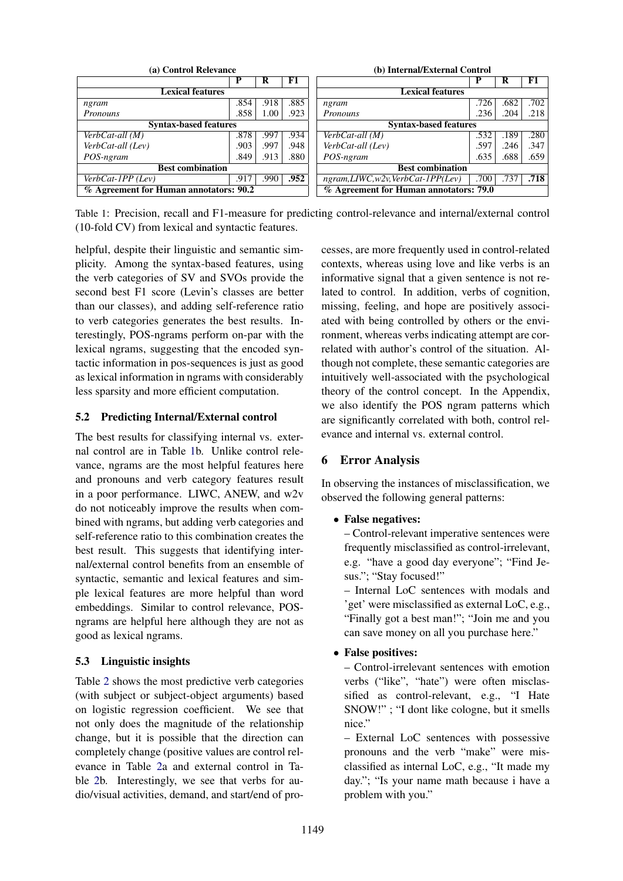<span id="page-3-0"></span>

| (a) Control Relevance                  | (b) Internal/External Control |      |      |                                        |      |      |      |  |
|----------------------------------------|-------------------------------|------|------|----------------------------------------|------|------|------|--|
|                                        | P                             | R    | F1   |                                        | D    | R    | F1   |  |
| <b>Lexical features</b>                | <b>Lexical features</b>       |      |      |                                        |      |      |      |  |
| ngram                                  | .854                          | .918 | .885 | ngram                                  | .726 | .682 | .702 |  |
| Pronouns                               | .858                          | 1.00 | .923 | Pronouns                               | .236 | .204 | .218 |  |
| <b>Syntax-based features</b>           | <b>Syntax-based features</b>  |      |      |                                        |      |      |      |  |
| VerbCat-all (M)                        | .878                          | .997 | .934 | $\overline{\text{Verb}}$ Cat-all (M)   | .532 | .189 | .280 |  |
| VerbCat-all (Lev)                      | .903                          | .997 | .948 | VerbCat-all (Lev)                      | .597 | .246 | .347 |  |
| POS-ngram                              | .849                          | .913 | .880 | POS-ngram                              | .635 | .688 | .659 |  |
| <b>Best combination</b>                | <b>Best combination</b>       |      |      |                                        |      |      |      |  |
| $VerbCat-IPP$ (Lev)                    | .917                          | .990 | .952 | $ngram, LIWC, w2v, VerbCat-IPP(Lev)$   | .700 | .73' | .718 |  |
| % Agreement for Human annotators: 90.2 |                               |      |      | % Agreement for Human annotators: 79.0 |      |      |      |  |

Table 1: Precision, recall and F1-measure for predicting control-relevance and internal/external control (10-fold CV) from lexical and syntactic features.

helpful, despite their linguistic and semantic simplicity. Among the syntax-based features, using the verb categories of SV and SVOs provide the second best F1 score (Levin's classes are better than our classes), and adding self-reference ratio to verb categories generates the best results. Interestingly, POS-ngrams perform on-par with the lexical ngrams, suggesting that the encoded syntactic information in pos-sequences is just as good as lexical information in ngrams with considerably less sparsity and more efficient computation.

## 5.2 Predicting Internal/External control

The best results for classifying internal vs. external control are in Table [1b](#page-3-0). Unlike control relevance, ngrams are the most helpful features here and pronouns and verb category features result in a poor performance. LIWC, ANEW, and w2v do not noticeably improve the results when combined with ngrams, but adding verb categories and self-reference ratio to this combination creates the best result. This suggests that identifying internal/external control benefits from an ensemble of syntactic, semantic and lexical features and simple lexical features are more helpful than word embeddings. Similar to control relevance, POSngrams are helpful here although they are not as good as lexical ngrams.

# 5.3 Linguistic insights

Table [2](#page-4-0) shows the most predictive verb categories (with subject or subject-object arguments) based on logistic regression coefficient. We see that not only does the magnitude of the relationship change, but it is possible that the direction can completely change (positive values are control relevance in Table [2a](#page-4-0) and external control in Table [2b](#page-4-0). Interestingly, we see that verbs for audio/visual activities, demand, and start/end of processes, are more frequently used in control-related contexts, whereas using love and like verbs is an informative signal that a given sentence is not related to control. In addition, verbs of cognition, missing, feeling, and hope are positively associated with being controlled by others or the environment, whereas verbs indicating attempt are correlated with author's control of the situation. Although not complete, these semantic categories are intuitively well-associated with the psychological theory of the control concept. In the Appendix, we also identify the POS ngram patterns which are significantly correlated with both, control relevance and internal vs. external control.

# 6 Error Analysis

In observing the instances of misclassification, we observed the following general patterns:

# • False negatives:

– Control-relevant imperative sentences were frequently misclassified as control-irrelevant, e.g. "have a good day everyone"; "Find Jesus."; "Stay focused!"

– Internal LoC sentences with modals and 'get' were misclassified as external LoC, e.g., "Finally got a best man!"; "Join me and you can save money on all you purchase here."

# • False positives:

– Control-irrelevant sentences with emotion verbs ("like", "hate") were often misclassified as control-relevant, e.g., "I Hate SNOW!" ; "I dont like cologne, but it smells nice."

– External LoC sentences with possessive pronouns and the verb "make" were misclassified as internal LoC, e.g., "It made my day."; "Is your name math because i have a problem with you."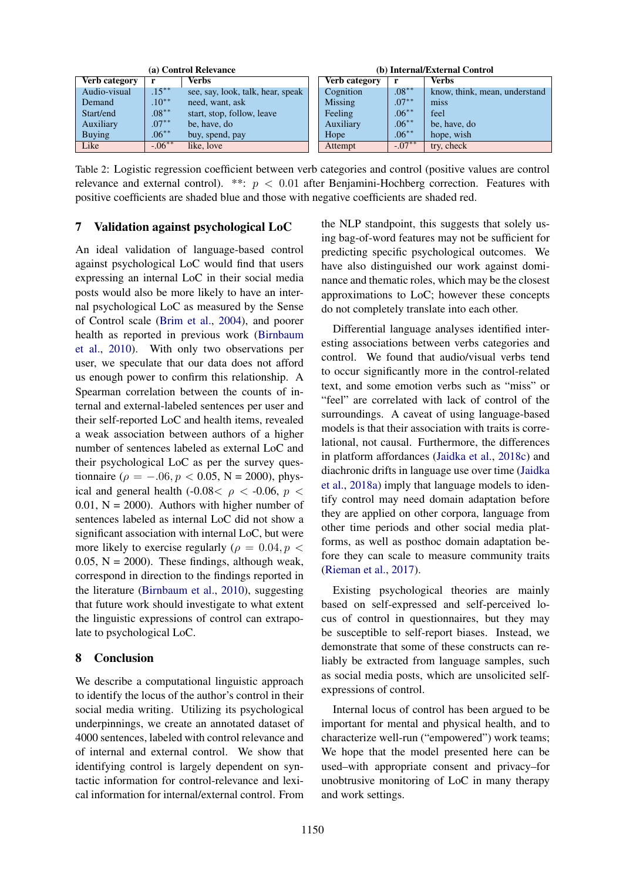<span id="page-4-0"></span>

| (a) Control Relevance |            |                                   | (b) Internal/External Control |          |                               |  |
|-----------------------|------------|-----------------------------------|-------------------------------|----------|-------------------------------|--|
| <b>Verb category</b>  | r          | <b>Verbs</b>                      | <b>Verb category</b>          | -r       | <b>Verbs</b>                  |  |
| Audio-visual          | $.15***$   | see, say, look, talk, hear, speak | Cognition                     | $.08***$ | know, think, mean, understand |  |
| Demand                | $.10**$    | need, want, ask                   | <b>Missing</b>                | $.07***$ | miss                          |  |
| Start/end             | $.08***$   | start, stop, follow, leave        | Feeling                       | $.06***$ | feel                          |  |
| Auxiliary             | $.07***$   | be, have, do                      | Auxiliary                     | $.06***$ | be, have, do                  |  |
| <b>Buying</b>         | $.06***$   | buy, spend, pay                   | Hope                          | $.06***$ | hope, wish                    |  |
| Like                  | $-0.06***$ | like, love                        | Attempt                       | $-07**$  | try, check                    |  |

Table 2: Logistic regression coefficient between verb categories and control (positive values are control relevance and external control). \*\*:  $p < 0.01$  after Benjamini-Hochberg correction. Features with positive coefficients are shaded blue and those with negative coefficients are shaded red.

## 7 Validation against psychological LoC

An ideal validation of language-based control against psychological LoC would find that users expressing an internal LoC in their social media posts would also be more likely to have an internal psychological LoC as measured by the Sense of Control scale [\(Brim et al.,](#page-5-9) [2004\)](#page-5-9), and poorer health as reported in previous work [\(Birnbaum](#page-5-18) [et al.,](#page-5-18) [2010\)](#page-5-18). With only two observations per user, we speculate that our data does not afford us enough power to confirm this relationship. A Spearman correlation between the counts of internal and external-labeled sentences per user and their self-reported LoC and health items, revealed a weak association between authors of a higher number of sentences labeled as external LoC and their psychological LoC as per the survey questionnaire ( $\rho = -.06, p < 0.05, N = 2000$ ), physical and general health (-0.08 \le  $\rho$  \le -0.06, p \le \mum  $0.01$ ,  $N = 2000$ ). Authors with higher number of sentences labeled as internal LoC did not show a significant association with internal LoC, but were more likely to exercise regularly ( $\rho = 0.04, p <$ 0.05,  $N = 2000$ . These findings, although weak, correspond in direction to the findings reported in the literature [\(Birnbaum et al.,](#page-5-18) [2010\)](#page-5-18), suggesting that future work should investigate to what extent the linguistic expressions of control can extrapolate to psychological LoC.

# 8 Conclusion

We describe a computational linguistic approach to identify the locus of the author's control in their social media writing. Utilizing its psychological underpinnings, we create an annotated dataset of 4000 sentences, labeled with control relevance and of internal and external control. We show that identifying control is largely dependent on syntactic information for control-relevance and lexical information for internal/external control. From

the NLP standpoint, this suggests that solely using bag-of-word features may not be sufficient for predicting specific psychological outcomes. We have also distinguished our work against dominance and thematic roles, which may be the closest approximations to LoC; however these concepts do not completely translate into each other.

Differential language analyses identified interesting associations between verbs categories and control. We found that audio/visual verbs tend to occur significantly more in the control-related text, and some emotion verbs such as "miss" or "feel" are correlated with lack of control of the surroundings. A caveat of using language-based models is that their association with traits is correlational, not causal. Furthermore, the differences in platform affordances [\(Jaidka et al.,](#page-5-19) [2018c\)](#page-5-19) and diachronic drifts in language use over time [\(Jaidka](#page-5-20) [et al.,](#page-5-20) [2018a\)](#page-5-20) imply that language models to identify control may need domain adaptation before they are applied on other corpora, language from other time periods and other social media platforms, as well as posthoc domain adaptation before they can scale to measure community traits [\(Rieman et al.,](#page-5-21) [2017\)](#page-5-21).

Existing psychological theories are mainly based on self-expressed and self-perceived locus of control in questionnaires, but they may be susceptible to self-report biases. Instead, we demonstrate that some of these constructs can reliably be extracted from language samples, such as social media posts, which are unsolicited selfexpressions of control.

Internal locus of control has been argued to be important for mental and physical health, and to characterize well-run ("empowered") work teams; We hope that the model presented here can be used–with appropriate consent and privacy–for unobtrusive monitoring of LoC in many therapy and work settings.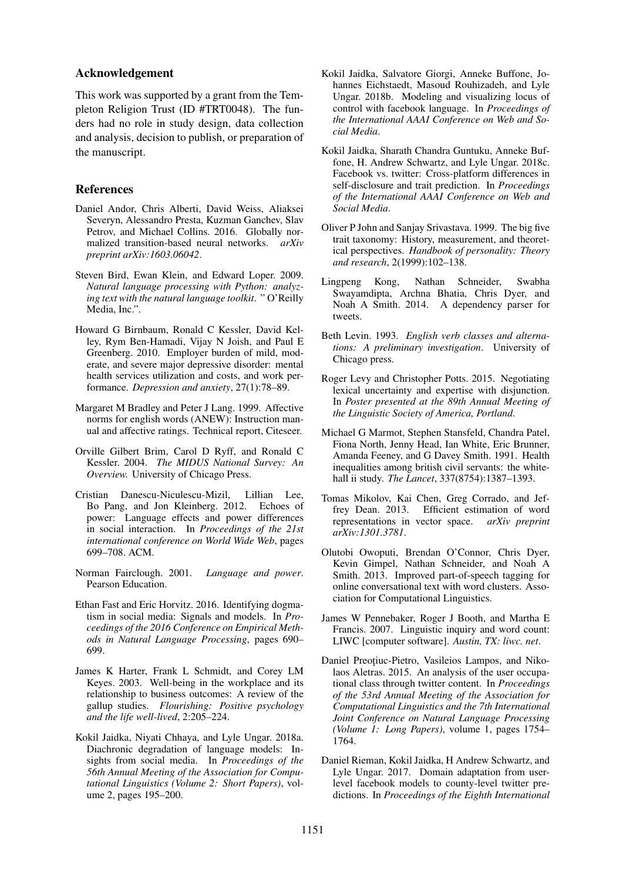#### Acknowledgement

This work was supported by a grant from the Templeton Religion Trust (ID #TRT0048). The funders had no role in study design, data collection and analysis, decision to publish, or preparation of the manuscript.

## References

- <span id="page-5-14"></span>Daniel Andor, Chris Alberti, David Weiss, Aliaksei Severyn, Alessandro Presta, Kuzman Ganchev, Slav Petrov, and Michael Collins. 2016. Globally normalized transition-based neural networks. *arXiv preprint arXiv:1603.06042*.
- <span id="page-5-17"></span>Steven Bird, Ewan Klein, and Edward Loper. 2009. *Natural language processing with Python: analyzing text with the natural language toolkit*. " O'Reilly Media, Inc.".
- <span id="page-5-18"></span>Howard G Birnbaum, Ronald C Kessler, David Kelley, Rym Ben-Hamadi, Vijay N Joish, and Paul E Greenberg. 2010. Employer burden of mild, moderate, and severe major depressive disorder: mental health services utilization and costs, and work performance. *Depression and anxiety*, 27(1):78–89.
- <span id="page-5-2"></span>Margaret M Bradley and Peter J Lang. 1999. Affective norms for english words (ANEW): Instruction manual and affective ratings. Technical report, Citeseer.
- <span id="page-5-9"></span>Orville Gilbert Brim, Carol D Ryff, and Ronald C Kessler. 2004. *The MIDUS National Survey: An Overview.* University of Chicago Press.
- <span id="page-5-1"></span>Cristian Danescu-Niculescu-Mizil, Lillian Lee, Bo Pang, and Jon Kleinberg. 2012. Echoes of power: Language effects and power differences in social interaction. In *Proceedings of the 21st international conference on World Wide Web*, pages 699–708. ACM.
- <span id="page-5-0"></span>Norman Fairclough. 2001. *Language and power*. Pearson Education.
- <span id="page-5-3"></span>Ethan Fast and Eric Horvitz. 2016. Identifying dogmatism in social media: Signals and models. In *Proceedings of the 2016 Conference on Empirical Methods in Natural Language Processing*, pages 690– 699.
- <span id="page-5-6"></span>James K Harter, Frank L Schmidt, and Corey LM Keyes. 2003. Well-being in the workplace and its relationship to business outcomes: A review of the gallup studies. *Flourishing: Positive psychology and the life well-lived*, 2:205–224.
- <span id="page-5-20"></span>Kokil Jaidka, Niyati Chhaya, and Lyle Ungar. 2018a. Diachronic degradation of language models: Insights from social media. In *Proceedings of the 56th Annual Meeting of the Association for Computational Linguistics (Volume 2: Short Papers)*, volume 2, pages 195–200.
- <span id="page-5-7"></span>Kokil Jaidka, Salvatore Giorgi, Anneke Buffone, Johannes Eichstaedt, Masoud Rouhizadeh, and Lyle Ungar. 2018b. Modeling and visualizing locus of control with facebook language. In *Proceedings of the International AAAI Conference on Web and Social Media*.
- <span id="page-5-19"></span>Kokil Jaidka, Sharath Chandra Guntuku, Anneke Buffone, H. Andrew Schwartz, and Lyle Ungar. 2018c. Facebook vs. twitter: Cross-platform differences in self-disclosure and trait prediction. In *Proceedings of the International AAAI Conference on Web and Social Media*.
- <span id="page-5-8"></span>Oliver P John and Sanjay Srivastava. 1999. The big five trait taxonomy: History, measurement, and theoretical perspectives. *Handbook of personality: Theory and research*, 2(1999):102–138.
- <span id="page-5-15"></span>Lingpeng Kong, Nathan Schneider, Swabha Swayamdipta, Archna Bhatia, Chris Dyer, and Noah A Smith. 2014. A dependency parser for tweets.
- <span id="page-5-16"></span>Beth Levin. 1993. *English verb classes and alternations: A preliminary investigation*. University of Chicago press.
- <span id="page-5-4"></span>Roger Levy and Christopher Potts. 2015. Negotiating lexical uncertainty and expertise with disjunction. In *Poster presented at the 89th Annual Meeting of the Linguistic Society of America, Portland*.
- <span id="page-5-5"></span>Michael G Marmot, Stephen Stansfeld, Chandra Patel, Fiona North, Jenny Head, Ian White, Eric Brunner, Amanda Feeney, and G Davey Smith. 1991. Health inequalities among british civil servants: the whitehall ii study. *The Lancet*, 337(8754):1387–1393.
- <span id="page-5-13"></span>Tomas Mikolov, Kai Chen, Greg Corrado, and Jeffrey Dean. 2013. Efficient estimation of word representations in vector space. *arXiv preprint arXiv:1301.3781*.
- <span id="page-5-10"></span>Olutobi Owoputi, Brendan O'Connor, Chris Dyer, Kevin Gimpel, Nathan Schneider, and Noah A Smith. 2013. Improved part-of-speech tagging for online conversational text with word clusters. Association for Computational Linguistics.
- <span id="page-5-11"></span>James W Pennebaker, Roger J Booth, and Martha E Francis. 2007. Linguistic inquiry and word count: LIWC [computer software]. *Austin, TX: liwc. net*.
- <span id="page-5-12"></span>Daniel Preotiuc-Pietro, Vasileios Lampos, and Nikolaos Aletras. 2015. An analysis of the user occupational class through twitter content. In *Proceedings of the 53rd Annual Meeting of the Association for Computational Linguistics and the 7th International Joint Conference on Natural Language Processing (Volume 1: Long Papers)*, volume 1, pages 1754– 1764.
- <span id="page-5-21"></span>Daniel Rieman, Kokil Jaidka, H Andrew Schwartz, and Lyle Ungar. 2017. Domain adaptation from userlevel facebook models to county-level twitter predictions. In *Proceedings of the Eighth International*